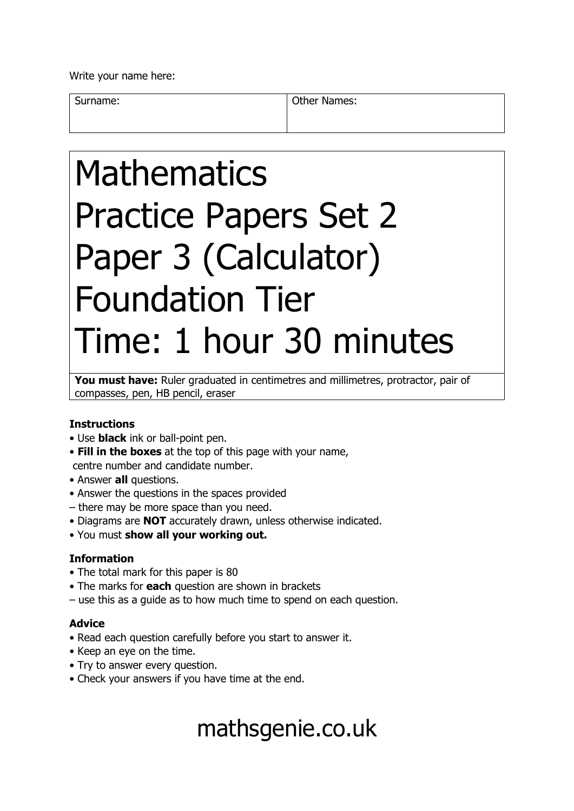Write your name here:

Surname: **Other Names: Other Names:** 

# Mathematics Practice Papers Set 2 Paper 3 (Calculator) Foundation Tier Time: 1 hour 30 minutes

You must have: Ruler graduated in centimetres and millimetres, protractor, pair of compasses, pen, HB pencil, eraser

## **Instructions**

- Use **black** ink or ball-point pen.
- **Fill in the boxes** at the top of this page with your name, centre number and candidate number.
- Answer **all** questions.
- Answer the questions in the spaces provided
- there may be more space than you need.
- Diagrams are **NOT** accurately drawn, unless otherwise indicated.
- You must **show all your working out.**

#### **Information**

- The total mark for this paper is 80
- The marks for **each** question are shown in brackets
- use this as a guide as to how much time to spend on each question.

## **Advice**

- Read each question carefully before you start to answer it.
- Keep an eye on the time.
- Try to answer every question.
- Check your answers if you have time at the end.

# mathsgenie.co.uk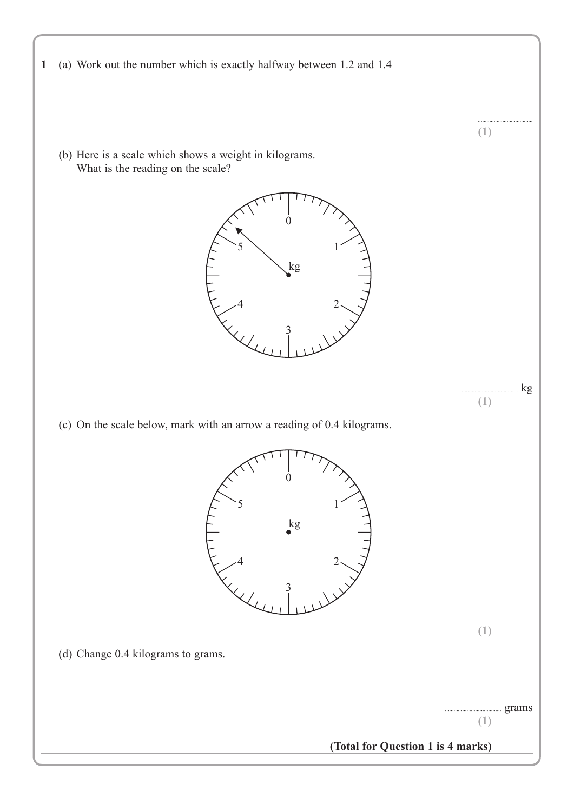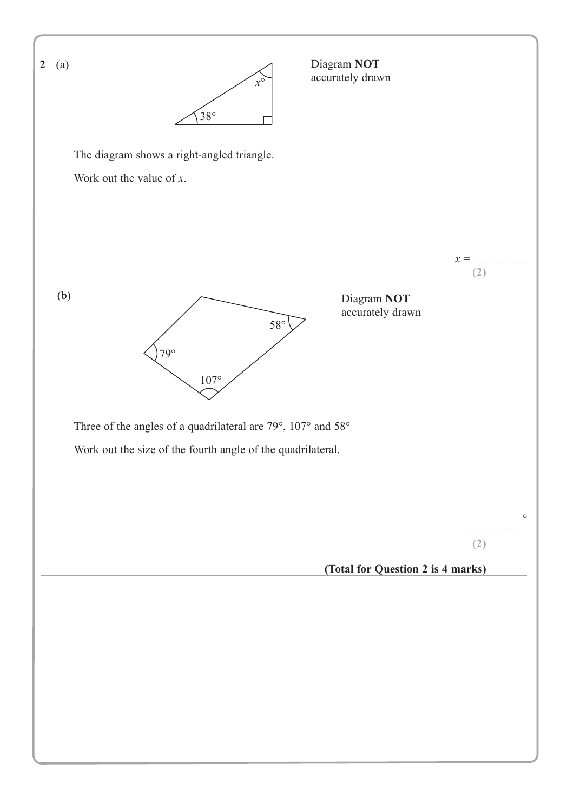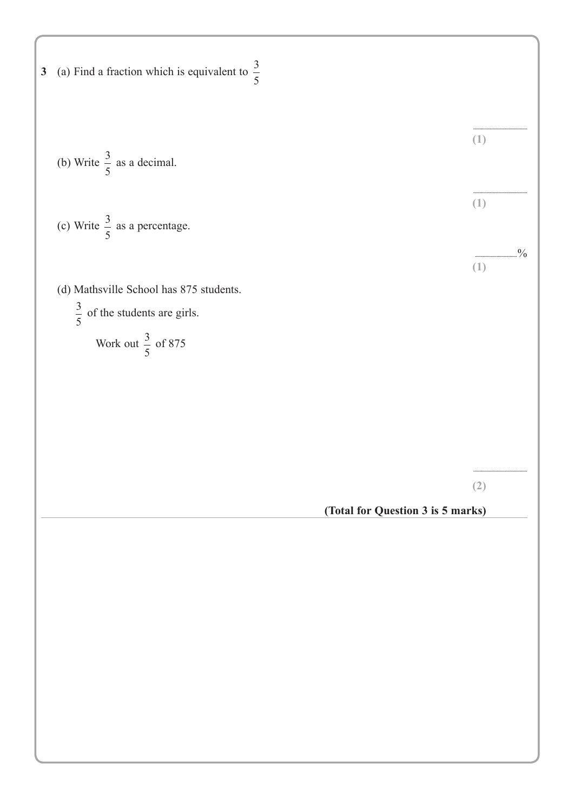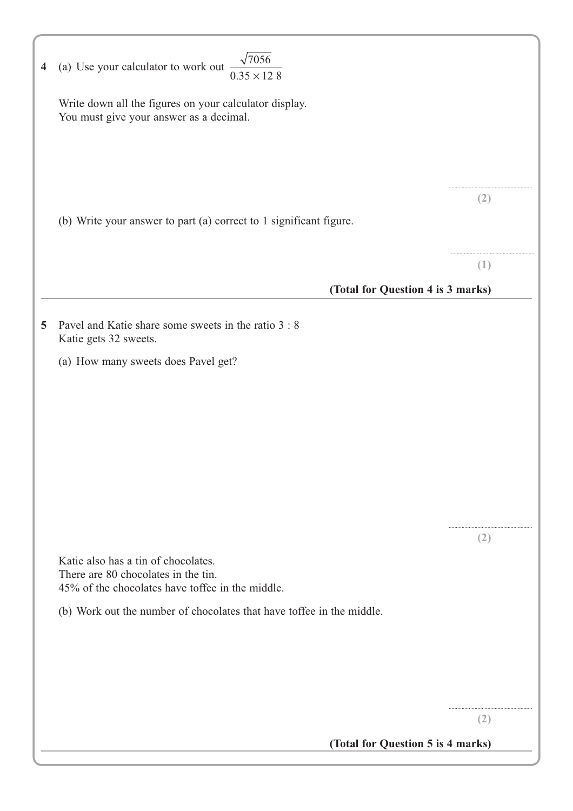| 4 | $\sqrt{7056}$<br>(a) Use your calculator to work out $\frac{1}{2}$<br>$0.35 \times 128$                                        |               |
|---|--------------------------------------------------------------------------------------------------------------------------------|---------------|
|   | Write down all the figures on your calculator display.<br>You must give your answer as a decimal.                              |               |
|   |                                                                                                                                |               |
|   | (b) Write your answer to part (a) correct to 1 significant figure.                                                             | (2)           |
|   |                                                                                                                                | (1)           |
|   | (Total for Question 4 is 3 marks)                                                                                              |               |
| 5 | Pavel and Katie share some sweets in the ratio 3 : 8<br>Katie gets 32 sweets.                                                  |               |
|   | (a) How many sweets does Pavel get?                                                                                            |               |
|   |                                                                                                                                |               |
|   |                                                                                                                                |               |
|   |                                                                                                                                |               |
|   |                                                                                                                                |               |
|   |                                                                                                                                |               |
|   |                                                                                                                                | $\mathcal{L}$ |
|   | Katie also has a tin of chocolates.<br>There are 80 chocolates in the tin.<br>45% of the chocolates have toffee in the middle. |               |
|   | (b) Work out the number of chocolates that have toffee in the middle.                                                          |               |
|   |                                                                                                                                |               |
|   |                                                                                                                                |               |
|   |                                                                                                                                | (2)           |
|   | (Total for Question 5 is 4 marks)                                                                                              |               |
|   |                                                                                                                                |               |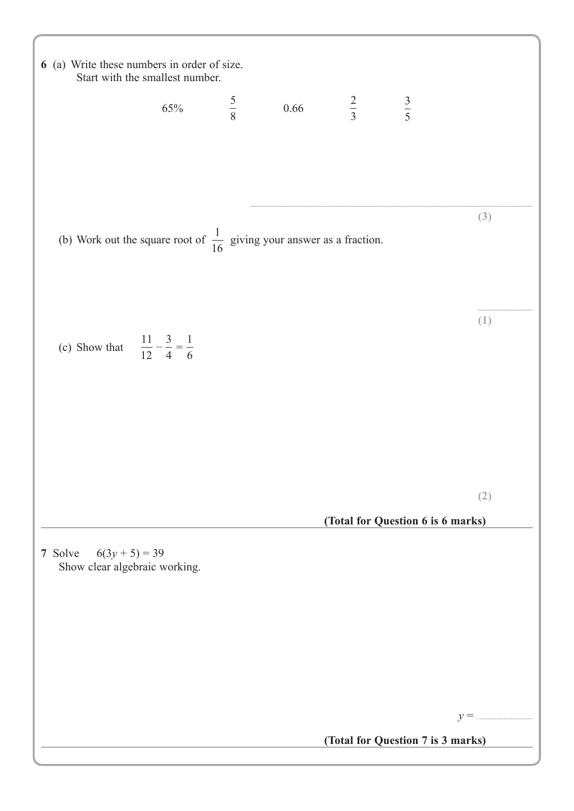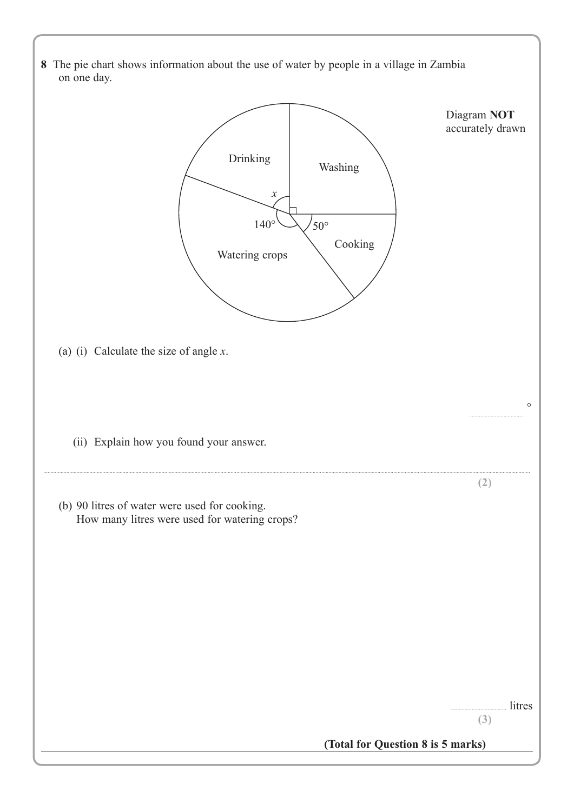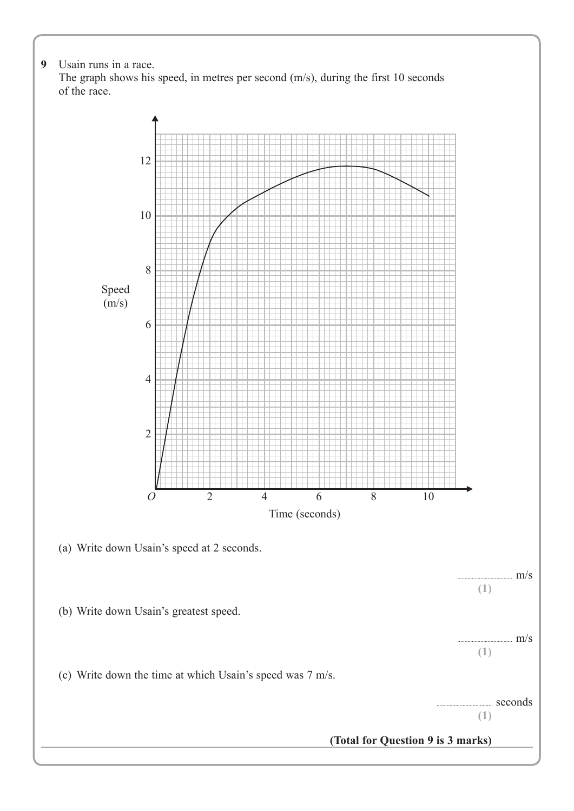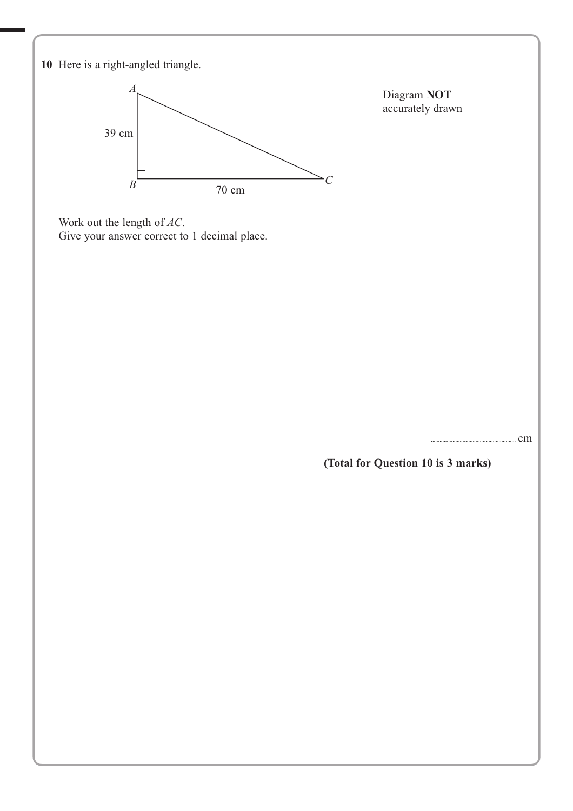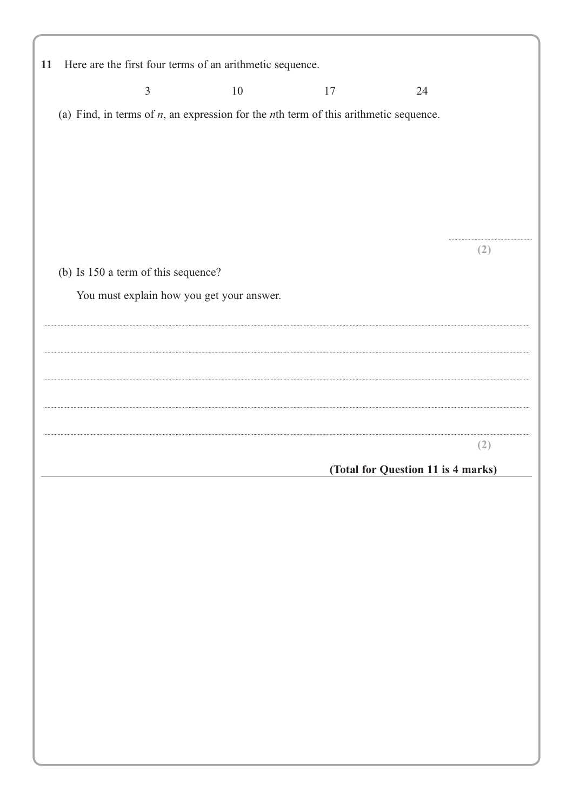| 11 |                                                                                            |                                     | Here are the first four terms of an arithmetic sequence. |    |                                    |     |
|----|--------------------------------------------------------------------------------------------|-------------------------------------|----------------------------------------------------------|----|------------------------------------|-----|
|    |                                                                                            | $\mathfrak{Z}$                      | 10                                                       | 17 | 24                                 |     |
|    | (a) Find, in terms of $n$ , an expression for the $n$ th term of this arithmetic sequence. |                                     |                                                          |    |                                    |     |
|    |                                                                                            |                                     |                                                          |    |                                    |     |
|    |                                                                                            |                                     |                                                          |    |                                    |     |
|    |                                                                                            |                                     |                                                          |    |                                    |     |
|    |                                                                                            |                                     |                                                          |    |                                    |     |
|    |                                                                                            |                                     |                                                          |    |                                    | (2) |
|    |                                                                                            | (b) Is 150 a term of this sequence? |                                                          |    |                                    |     |
|    |                                                                                            |                                     | You must explain how you get your answer.                |    |                                    |     |
|    |                                                                                            |                                     |                                                          |    |                                    |     |
|    |                                                                                            |                                     |                                                          |    |                                    |     |
|    |                                                                                            |                                     |                                                          |    |                                    |     |
|    |                                                                                            |                                     |                                                          |    |                                    |     |
|    |                                                                                            |                                     |                                                          |    |                                    | (2) |
|    |                                                                                            |                                     |                                                          |    | (Total for Question 11 is 4 marks) |     |
|    |                                                                                            |                                     |                                                          |    |                                    |     |
|    |                                                                                            |                                     |                                                          |    |                                    |     |
|    |                                                                                            |                                     |                                                          |    |                                    |     |
|    |                                                                                            |                                     |                                                          |    |                                    |     |
|    |                                                                                            |                                     |                                                          |    |                                    |     |
|    |                                                                                            |                                     |                                                          |    |                                    |     |
|    |                                                                                            |                                     |                                                          |    |                                    |     |
|    |                                                                                            |                                     |                                                          |    |                                    |     |
|    |                                                                                            |                                     |                                                          |    |                                    |     |
|    |                                                                                            |                                     |                                                          |    |                                    |     |
|    |                                                                                            |                                     |                                                          |    |                                    |     |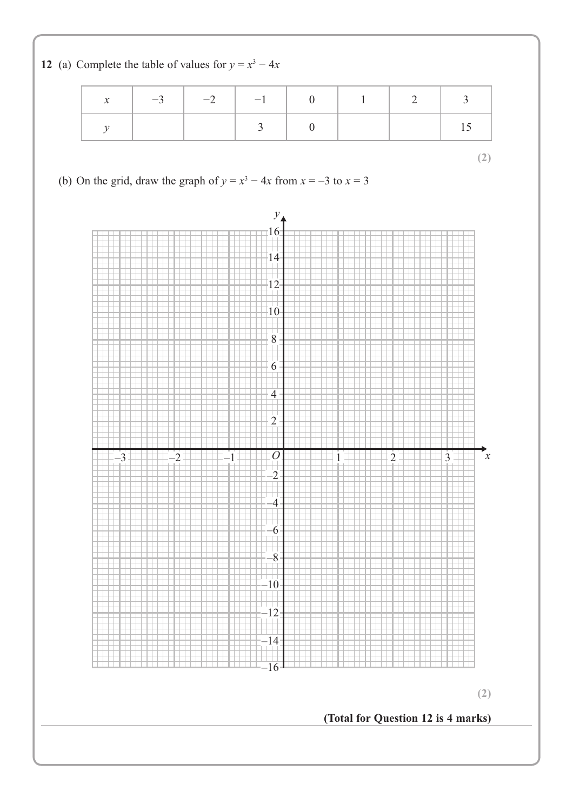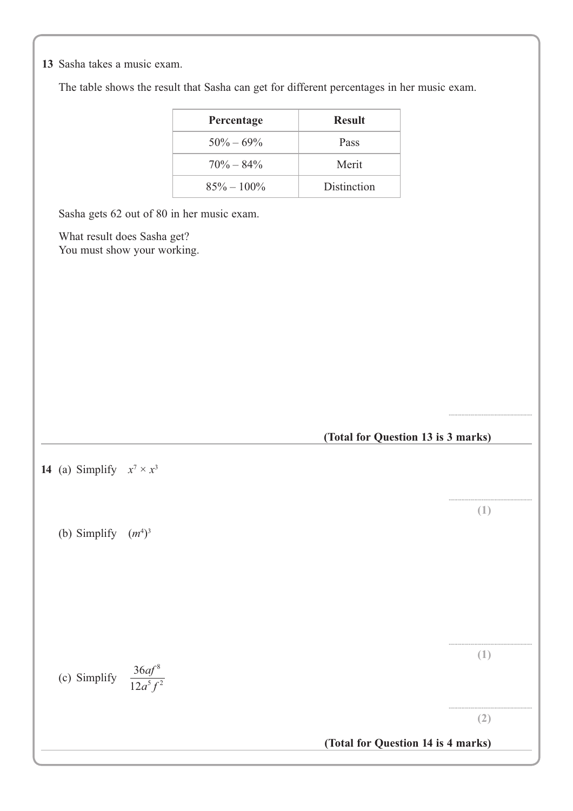**10** Sasha takes a music exam. **13**

The table shows the result that Sasha can get for different percentages in her music exam.

| Percentage     | <b>Result</b> |
|----------------|---------------|
| $50\% - 69\%$  | Pass          |
| $70\% - 84\%$  | Merit         |
| $85\% - 100\%$ | Distinction   |

Sasha gets 62 out of 80 in her music exam.

What result does Sasha get? You must show your working.



..........................................................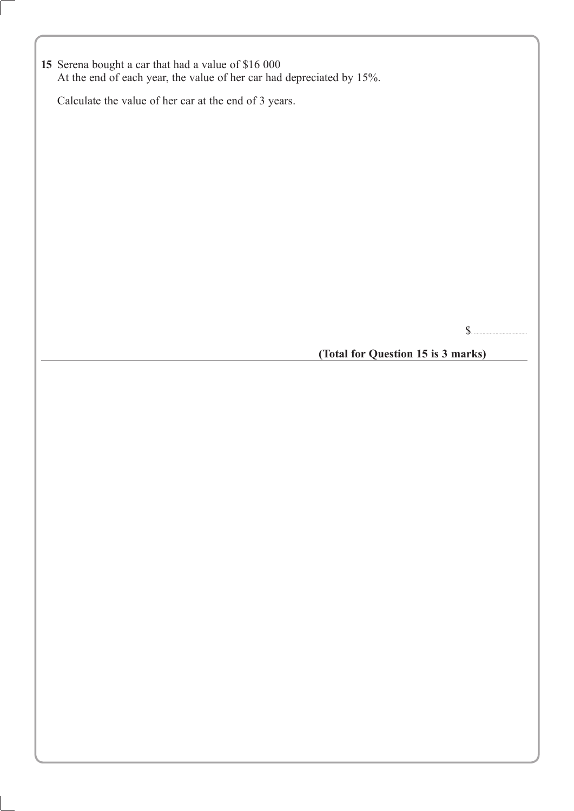**15** Serena bought a car that had a value of \$16 000 At the end of each year, the value of her car had depreciated by 15%.

Calculate the value of her car at the end of 3 years.

\$. .....................................

**(Total for Question 15 is 3 marks)**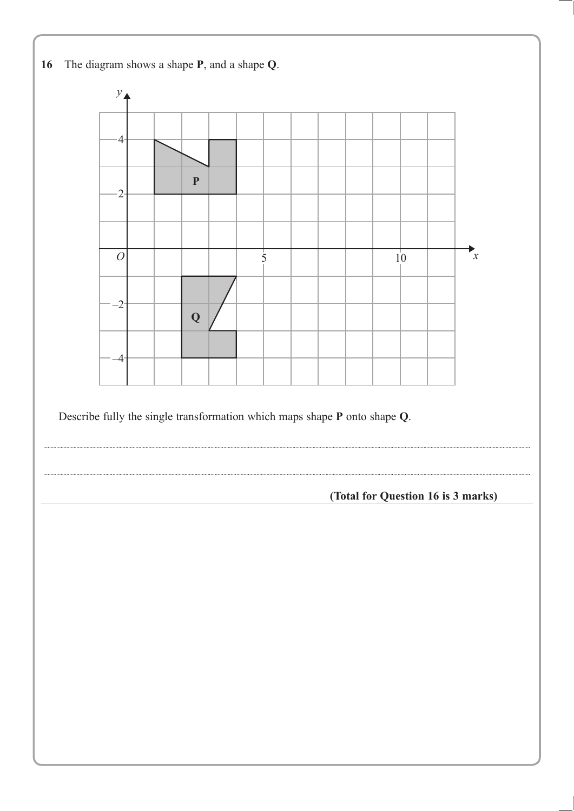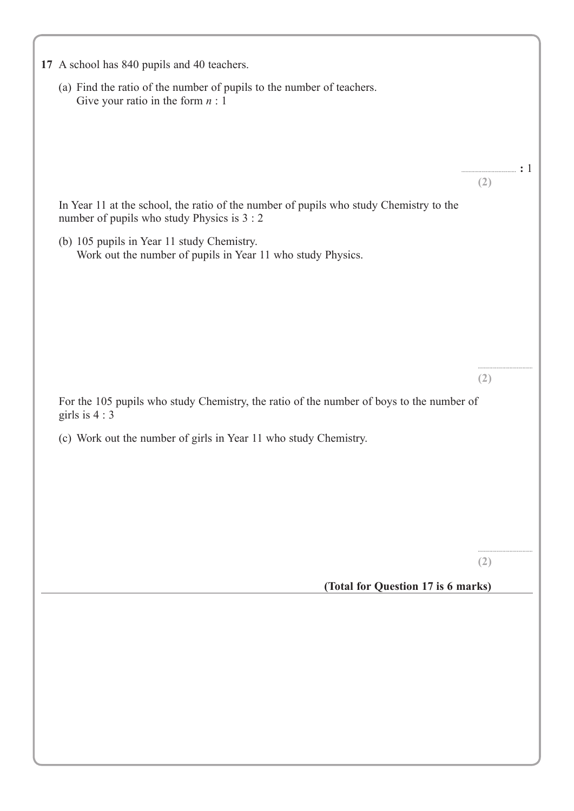|                | (a) Find the ratio of the number of pupils to the number of teachers.                                                                 |                                                                                                                                                                                                                                                                                                                  |
|----------------|---------------------------------------------------------------------------------------------------------------------------------------|------------------------------------------------------------------------------------------------------------------------------------------------------------------------------------------------------------------------------------------------------------------------------------------------------------------|
|                | Give your ratio in the form $n:1$                                                                                                     |                                                                                                                                                                                                                                                                                                                  |
|                |                                                                                                                                       |                                                                                                                                                                                                                                                                                                                  |
|                |                                                                                                                                       | $\frac{1}{2}$ . $\frac{1}{2}$ . $\frac{1}{2}$ . $\frac{1}{2}$ . $\frac{1}{2}$ . $\frac{1}{2}$ . $\frac{1}{2}$ . $\frac{1}{2}$ . $\frac{1}{2}$ . $\frac{1}{2}$ . $\frac{1}{2}$ . $\frac{1}{2}$ . $\frac{1}{2}$ . $\frac{1}{2}$ . $\frac{1}{2}$ . $\frac{1}{2}$ . $\frac{1}{2}$ . $\frac{1}{2}$ . $\frac{1$<br>(2) |
|                | In Year 11 at the school, the ratio of the number of pupils who study Chemistry to the<br>number of pupils who study Physics is 3 : 2 |                                                                                                                                                                                                                                                                                                                  |
|                | (b) 105 pupils in Year 11 study Chemistry.<br>Work out the number of pupils in Year 11 who study Physics.                             |                                                                                                                                                                                                                                                                                                                  |
|                |                                                                                                                                       |                                                                                                                                                                                                                                                                                                                  |
|                |                                                                                                                                       |                                                                                                                                                                                                                                                                                                                  |
|                |                                                                                                                                       |                                                                                                                                                                                                                                                                                                                  |
|                |                                                                                                                                       | <br>(2)                                                                                                                                                                                                                                                                                                          |
| girls is $4:3$ | For the 105 pupils who study Chemistry, the ratio of the number of boys to the number of                                              |                                                                                                                                                                                                                                                                                                                  |
|                | (c) Work out the number of girls in Year 11 who study Chemistry.                                                                      |                                                                                                                                                                                                                                                                                                                  |
|                |                                                                                                                                       |                                                                                                                                                                                                                                                                                                                  |
|                |                                                                                                                                       |                                                                                                                                                                                                                                                                                                                  |
|                |                                                                                                                                       |                                                                                                                                                                                                                                                                                                                  |
|                |                                                                                                                                       | (2)                                                                                                                                                                                                                                                                                                              |
|                | (Total for Question 17 is 6 marks)                                                                                                    |                                                                                                                                                                                                                                                                                                                  |
|                |                                                                                                                                       |                                                                                                                                                                                                                                                                                                                  |
|                |                                                                                                                                       |                                                                                                                                                                                                                                                                                                                  |
|                |                                                                                                                                       |                                                                                                                                                                                                                                                                                                                  |
|                |                                                                                                                                       |                                                                                                                                                                                                                                                                                                                  |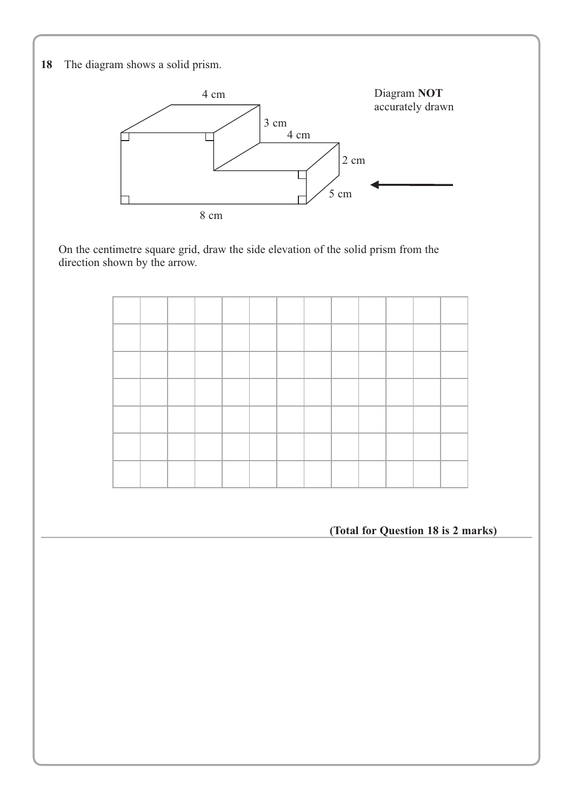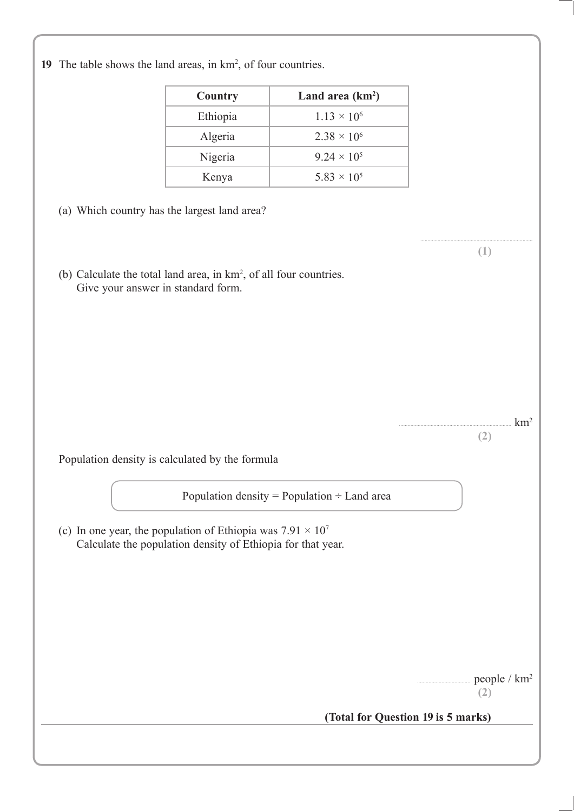19 The table shows the land areas, in km<sup>2</sup>, of four countries.

| Country  | Land area $(km^2)$   |
|----------|----------------------|
| Ethiopia | $1.13 \times 10^{6}$ |
| Algeria  | $2.38 \times 10^{6}$ |
| Nigeria  | $9.24 \times 10^5$   |
| Kenya    | $5.83 \times 10^{5}$ |

- (a) Which country has the largest land area?
- (b) Calculate the total land area, in km2 , of all four countries. Give your answer in standard form.

 $km<sup>2</sup>$ **(2)**

.............................................................................. **(1)**

Population density is calculated by the formula

Population density = Population  $\div$  Land area

(c) In one year, the population of Ethiopia was  $7.91 \times 10^7$ Calculate the population density of Ethiopia for that year.

. people / km<sup>2</sup>

**(2)**

#### **(Total for Question 19 is 5 marks)**